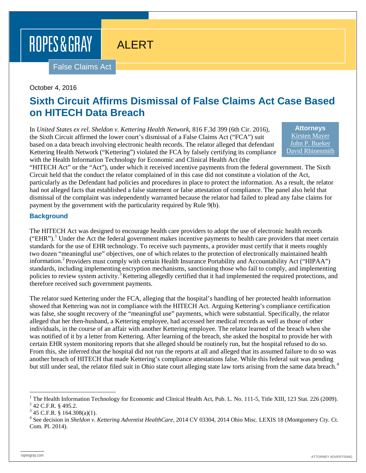# ROPES & GRAY

ALERT

False Claims Act

#### October 4, 2016

## **Sixth Circuit Affirms Dismissal of False Claims Act Case Based on HITECH Data Breach**

In *United States ex rel. Sheldon v. Kettering Health Network*, 816 F.3d 399 (6th Cir. 2016), the Sixth Circuit affirmed the lower court's dismissal of a False Claims Act ("FCA") suit based on a data breach involving electronic health records. The relator alleged that defendant Kettering Health Network ("Kettering") violated the FCA by falsely certifying its compliance with the Health Information Technology for Economic and Clinical Health Act (the

**Attorneys** [Kirsten Mayer](http://ropesgray.com/biographies/m/kirsten-mayer.aspx) [John P. Bueker](http://ropesgray.com/biographies/b/john-p-bueker.aspx) [David Rhinesmith](http://ropesgray.com/biographies/r/david-rhinesmith.aspx)

"HITECH Act" or the "Act"), under which it received incentive payments from the federal government. The Sixth Circuit held that the conduct the relator complained of in this case did not constitute a violation of the Act, particularly as the Defendant had policies and procedures in place to protect the information. As a result, the relator had not alleged facts that established a false statement or false attestation of compliance. The panel also held that dismissal of the complaint was independently warranted because the relator had failed to plead any false claims for payment by the government with the particularity required by Rule 9(b).

#### **Background**

The HITECH Act was designed to encourage health care providers to adopt the use of electronic health records  $("EHR").$  Under the Act the federal government makes incentive payments to health care providers that meet certain standards for the use of EHR technology. To receive such payments, a provider must certify that it meets roughly two dozen "meaningful use" objectives, one of which relates to the protection of electronically maintained health information.<sup>[2](#page-0-1)</sup> Providers must comply with certain Health Insurance Portability and Accountability Act ("HIPAA") standards, including implementing encryption mechanisms, sanctioning those who fail to comply, and implementing policies to review system activity.<sup>[3](#page-0-2)</sup> Kettering allegedly certified that it had implemented the required protections, and therefore received such government payments.

The relator sued Kettering under the FCA, alleging that the hospital's handling of her protected health information showed that Kettering was not in compliance with the HITECH Act. Arguing Kettering's compliance certification was false, she sought recovery of the "meaningful use" payments, which were substantial. Specifically, the relator alleged that her then-husband, a Kettering employee, had accessed her medical records as well as those of other individuals, in the course of an affair with another Kettering employee. The relator learned of the breach when she was notified of it by a letter from Kettering. After learning of the breach, she asked the hospital to provide her with certain EHR system monitoring reports that she alleged should be routinely run, but the hospital refused to do so. From this, she inferred that the hospital did not run the reports at all and alleged that its assumed failure to do so was another breach of HITECH that made Kettering's compliance attestations false. While this federal suit was pending but still under seal, the relator filed suit in Ohio state court alleging state law torts arising from the same data breach.<sup>[4](#page-0-3)</sup>

<span id="page-0-0"></span><sup>&</sup>lt;sup>1</sup> The Health Information Technology for Economic and Clinical Health Act, Pub. L. No. 111-5, Title XIII, 123 Stat. 226 (2009).<br><sup>2</sup> 42 C.F.R. § 495.2.

<span id="page-0-2"></span><span id="page-0-1"></span> $3$  45 C.F.R. § 164.308(a)(1).

<span id="page-0-3"></span><sup>4</sup> See decision in *Sheldon v. Kettering Adventist HealthCare*, 2014 CV 03304, 2014 Ohio Misc. LEXIS 18 (Montgomery Cty. Ct. Com. Pl. 2014).